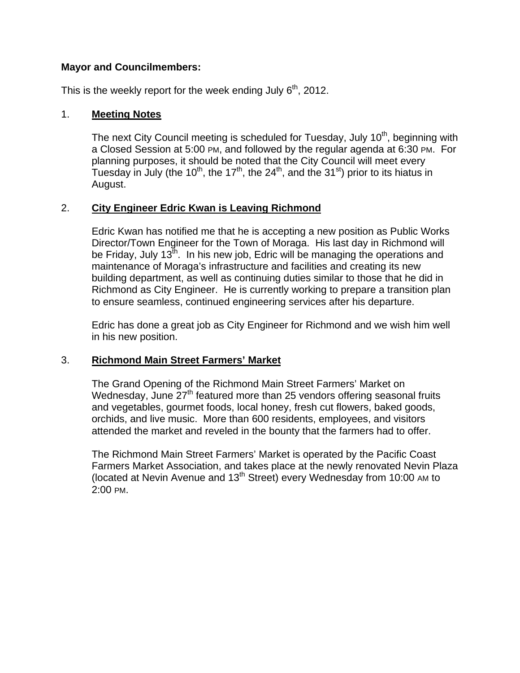## **Mayor and Councilmembers:**

This is the weekly report for the week ending July  $6<sup>th</sup>$ , 2012.

## 1. **Meeting Notes**

The next City Council meeting is scheduled for Tuesday, July 10<sup>th</sup>, beginning with a Closed Session at 5:00 PM, and followed by the regular agenda at 6:30 PM. For planning purposes, it should be noted that the City Council will meet every Tuesday in July (the 10<sup>th</sup>, the 17<sup>th</sup>, the 24<sup>th</sup>, and the 31<sup>st</sup>) prior to its hiatus in August.

# 2. **City Engineer Edric Kwan is Leaving Richmond**

Edric Kwan has notified me that he is accepting a new position as Public Works Director/Town Engineer for the Town of Moraga. His last day in Richmond will be Friday, July 13<sup>th</sup>. In his new job, Edric will be managing the operations and maintenance of Moraga's infrastructure and facilities and creating its new building department, as well as continuing duties similar to those that he did in Richmond as City Engineer. He is currently working to prepare a transition plan to ensure seamless, continued engineering services after his departure.

Edric has done a great job as City Engineer for Richmond and we wish him well in his new position.

### 3. **Richmond Main Street Farmers' Market**

The Grand Opening of the Richmond Main Street Farmers' Market on Wednesday, June  $27<sup>th</sup>$  featured more than 25 vendors offering seasonal fruits and vegetables, gourmet foods, local honey, fresh cut flowers, baked goods, orchids, and live music. More than 600 residents, employees, and visitors attended the market and reveled in the bounty that the farmers had to offer.

The Richmond Main Street Farmers' Market is operated by the Pacific Coast Farmers Market Association, and takes place at the newly renovated Nevin Plaza (located at Nevin Avenue and  $13<sup>th</sup>$  Street) every Wednesday from 10:00 AM to 2:00 PM.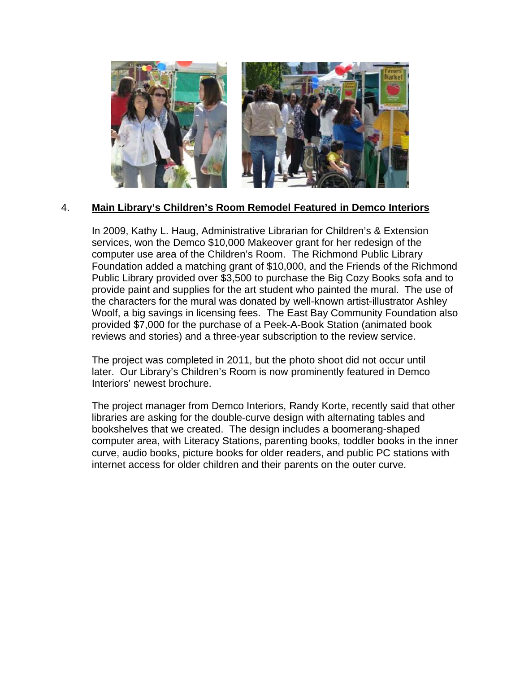

#### 4. Main Library's Children's Room Remodel Featured in Demco Interiors

In 2009, Kathy L. Haug, Administrative Librarian for Children's & Extension services, won the Demco \$10,000 Makeover grant for her redesign of the computer use area of the Children's Room. The Richmond Public Library Foundation added a matching grant of \$10,000, and the Friends of the Richmond Public Library provided over \$3,500 to purchase the Big Cozy Books sofa and to provide paint and supplies for the art student who painted the mural. The use of the characters for the mural was donated by well-known artist-illustrator Ashley Woolf, a big savings in licensing fees. The East Bay Community Foundation also provided \$7,000 for the purchase of a Peek-A-Book Station (animated book reviews and stories) and a three-year subscription to the review service.

The project was completed in 2011, but the photo shoot did not occur until later. Our Library's Children's Room is now prominently featured in Demco Interiors' newest brochure.

The project manager from Demco Interiors, Randy Korte, recently said that other libraries are asking for the double-curve design with alternating tables and bookshelves that we created. The design includes a boomerang-shaped computer area, with Literacy Stations, parenting books, toddler books in the inner curve, audio books, picture books for older readers, and public PC stations with internet access for older children and their parents on the outer curve.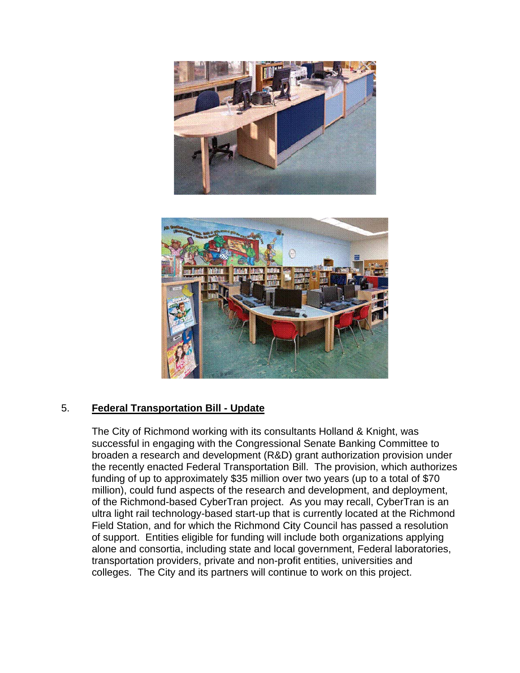



#### 5. **Federal Transportation Bill - Update**

The City of Richmond working with its consultants Holland & Knight, was successful in engaging with the Congressional Senate Banking Committee to broaden a research and development (R&D) grant authorization provision under the recently enacted Federal Transportation Bill. The provision, which authorizes funding of up to approximately \$35 million over two years (up to a total of \$70 million), could fund aspects of the research and development, and deployment, of the Richmond-based CyberTran project. As you may recall, CyberTran is an ultra light rail technology-based start-up that is currently located at the Richmond Field Station, and for which the Richmond City Council has passed a resolution of support. Entities eligible for funding will include both organizations applying alone and consortia, including state and local government, Federal laboratories, transportation providers, private and non-profit entities, universities and colleges. The City and its partners will continue to work on this project.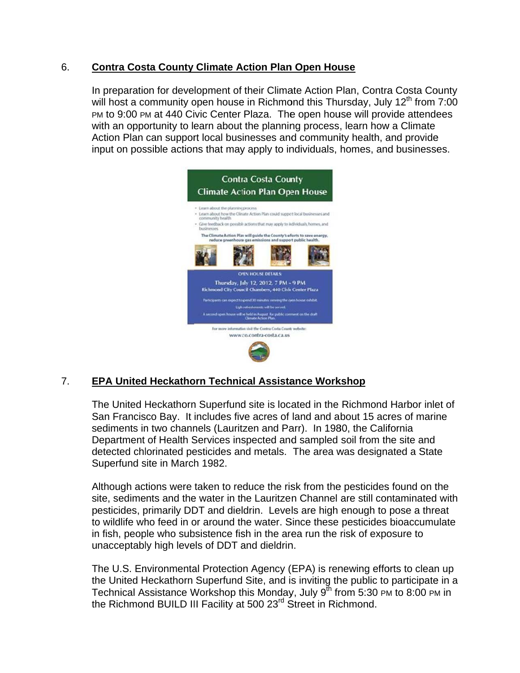#### 6. **Contra Costa County Climate Action Plan Open House**

In preparation for development of their Climate Action Plan, Contra Costa County will host a community open house in Richmond this Thursday, July  $12<sup>th</sup>$  from 7:00 PM to 9:00 PM at 440 Civic Center Plaza. The open house will provide attendees with an opportunity to learn about the planning process, learn how a Climate Action Plan can support local businesses and community health, and provide input on possible actions that may apply to individuals, homes, and businesses.



#### $\overline{7}$ . **EPA United Heckathorn Technical Assistance Workshop**

The United Heckathorn Superfund site is located in the Richmond Harbor inlet of San Francisco Bay. It includes five acres of land and about 15 acres of marine sediments in two channels (Lauritzen and Parr). In 1980, the California Department of Health Services inspected and sampled soil from the site and detected chlorinated pesticides and metals. The area was designated a State Superfund site in March 1982.

Although actions were taken to reduce the risk from the pesticides found on the site, sediments and the water in the Lauritzen Channel are still contaminated with pesticides, primarily DDT and dieldrin. Levels are high enough to pose a threat to wildlife who feed in or around the water. Since these pesticides bioaccumulate in fish, people who subsistence fish in the area run the risk of exposure to unacceptably high levels of DDT and dieldrin.

The U.S. Environmental Protection Agency (EPA) is renewing efforts to clean up the United Heckathorn Superfund Site, and is inviting the public to participate in a Technical Assistance Workshop this Monday, July 9<sup>th</sup> from 5:30 PM to 8:00 PM in the Richmond BUILD III Facility at 500 23<sup>rd</sup> Street in Richmond.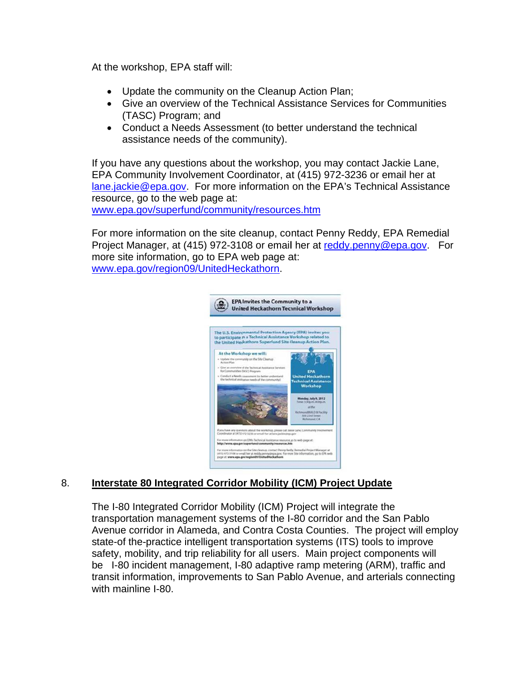At the workshop, EPA staff will:

- Update the community on the Cleanup Action Plan;
- Give an overview of the Technical Assistance Services for Communities (TASC) Program; and
- Conduct a Needs Assessment (to better understand the technical assistance needs of the community).

If you have any questions about the workshop, you may contact Jackie Lane, EPA Community Involvement Coordinator, at (415) 972-3236 or email her at lane.jackie@epa.gov. For more information on the EPA's Technical Assistance resource, go to the web page at:

www.epa.gov/superfund/community/resources.htm

For more information on the site cleanup, contact Penny Reddy, EPA Remedial Project Manager, at (415) 972-3108 or email her at reddy penny@epa.gov. For more site information, go to EPA web page at: www.epa.gov/region09/UnitedHeckathorn.



#### Interstate 80 Integrated Corridor Mobility (ICM) Project Update 8.

The I-80 Integrated Corridor Mobility (ICM) Project will integrate the transportation management systems of the I-80 corridor and the San Pablo Avenue corridor in Alameda, and Contra Costa Counties. The project will employ state-of the-practice intelligent transportation systems (ITS) tools to improve safety, mobility, and trip reliability for all users. Main project components will be I-80 incident management, I-80 adaptive ramp metering (ARM), traffic and transit information, improvements to San Pablo Avenue, and arterials connecting with mainline I-80.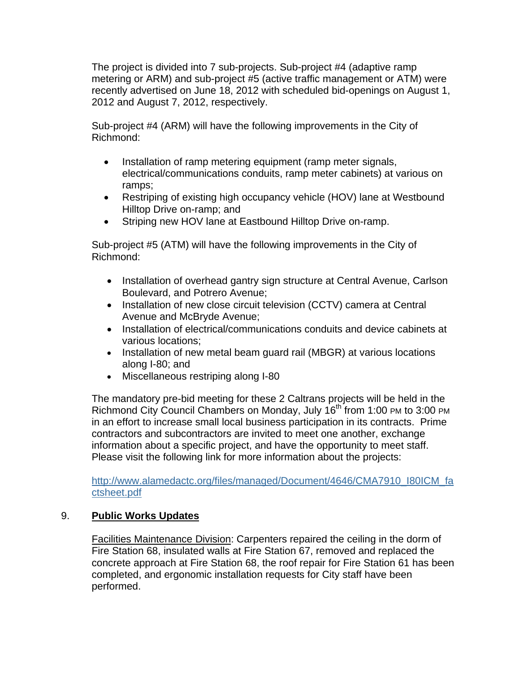The project is divided into 7 sub-projects. Sub-project #4 (adaptive ramp metering or ARM) and sub-project #5 (active traffic management or ATM) were recently advertised on June 18, 2012 with scheduled bid-openings on August 1, 2012 and August 7, 2012, respectively.

Sub-project #4 (ARM) will have the following improvements in the City of Richmond:

- Installation of ramp metering equipment (ramp meter signals, electrical/communications conduits, ramp meter cabinets) at various on ramps;
- Restriping of existing high occupancy vehicle (HOV) lane at Westbound Hilltop Drive on-ramp; and
- Striping new HOV lane at Eastbound Hilltop Drive on-ramp.

Sub-project #5 (ATM) will have the following improvements in the City of Richmond:

- Installation of overhead gantry sign structure at Central Avenue, Carlson Boulevard, and Potrero Avenue;
- Installation of new close circuit television (CCTV) camera at Central Avenue and McBryde Avenue;
- Installation of electrical/communications conduits and device cabinets at various locations;
- Installation of new metal beam guard rail (MBGR) at various locations along I-80; and
- Miscellaneous restriping along I-80

The mandatory pre-bid meeting for these 2 Caltrans projects will be held in the Richmond City Council Chambers on Monday, July 16<sup>th</sup> from 1:00 PM to 3:00 PM in an effort to increase small local business participation in its contracts. Prime contractors and subcontractors are invited to meet one another, exchange information about a specific project, and have the opportunity to meet staff. Please visit the following link for more information about the projects:

http://www.alamedactc.org/files/managed/Document/4646/CMA7910\_I80ICM\_fa ctsheet.pdf

# 9. **Public Works Updates**

Facilities Maintenance Division: Carpenters repaired the ceiling in the dorm of Fire Station 68, insulated walls at Fire Station 67, removed and replaced the concrete approach at Fire Station 68, the roof repair for Fire Station 61 has been completed, and ergonomic installation requests for City staff have been performed.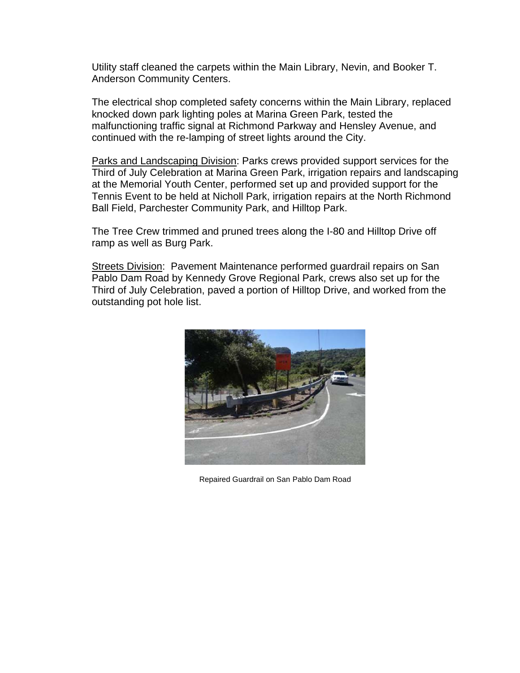Utility staff cleaned the carpets within the Main Library, Nevin, and Booker T. **Anderson Community Centers.** 

The electrical shop completed safety concerns within the Main Library, replaced knocked down park lighting poles at Marina Green Park, tested the malfunctioning traffic signal at Richmond Parkway and Hensley Avenue, and continued with the re-lamping of street lights around the City.

Parks and Landscaping Division: Parks crews provided support services for the Third of July Celebration at Marina Green Park, irrigation repairs and landscaping at the Memorial Youth Center, performed set up and provided support for the Tennis Event to be held at Nicholl Park, irrigation repairs at the North Richmond Ball Field, Parchester Community Park, and Hilltop Park.

The Tree Crew trimmed and pruned trees along the I-80 and Hilltop Drive off ramp as well as Burg Park.

Streets Division: Pavement Maintenance performed guardrail repairs on San Pablo Dam Road by Kennedy Grove Regional Park, crews also set up for the Third of July Celebration, paved a portion of Hilltop Drive, and worked from the outstanding pot hole list.



Repaired Guardrail on San Pablo Dam Road